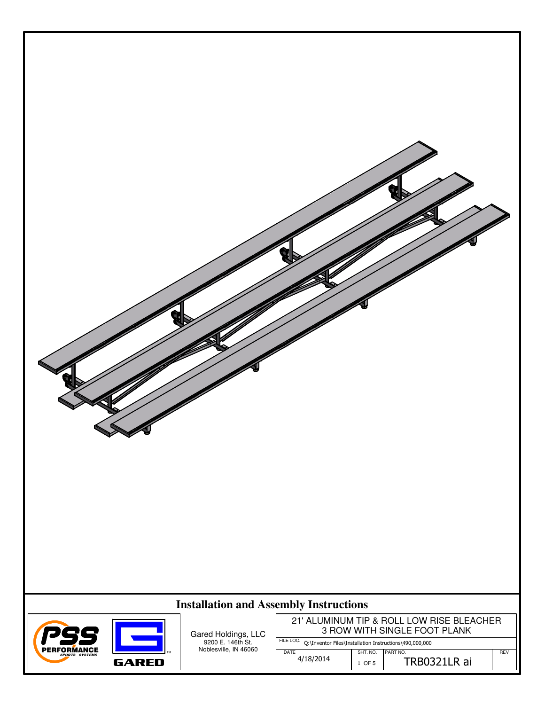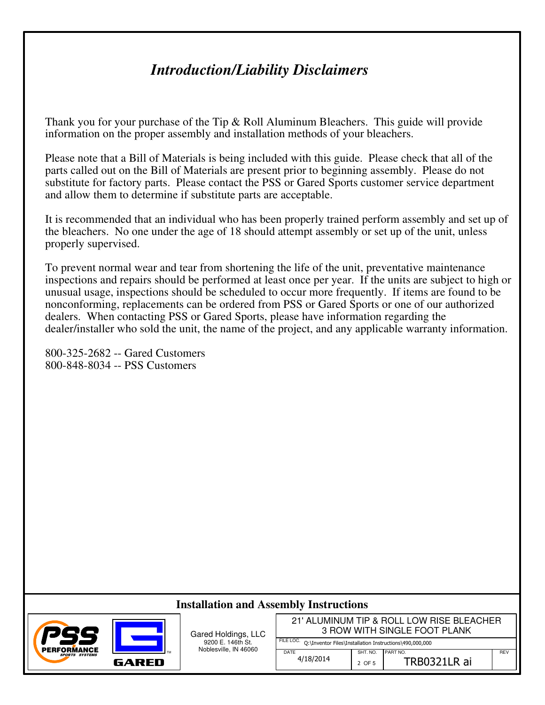## *Introduction/Liability Disclaimers*

Thank you for your purchase of the Tip & Roll Aluminum Bleachers. This guide will provide information on the proper assembly and installation methods of your bleachers.

Please note that a Bill of Materials is being included with this guide. Please check that all of the parts called out on the Bill of Materials are present prior to beginning assembly. Please do not substitute for factory parts. Please contact the PSS or Gared Sports customer service department and allow them to determine if substitute parts are acceptable.

It is recommended that an individual who has been properly trained perform assembly and set up of the bleachers. No one under the age of 18 should attempt assembly or set up of the unit, unless properly supervised.

To prevent normal wear and tear from shortening the life of the unit, preventative maintenance inspections and repairs should be performed at least once per year. If the units are subject to high or unusual usage, inspections should be scheduled to occur more frequently. If items are found to be nonconforming, replacements can be ordered from PSS or Gared Sports or one of our authorized dealers. When contacting PSS or Gared Sports, please have information regarding the dealer/installer who sold the unit, the name of the project, and any applicable warranty information.

800-325-2682 -- Gared Customers 800-848-8034 -- PSS Customers

## **Installation and Assembly Instructions**



Gared Holdings, LLC 9200 E. 146th St. Noblesville, IN 46060

TM

FILE LOC. Q:\Inventor Files\Installation Instructions\490,000,000 21' ALUMINUM TIP & ROLL LOW RISE BLEACHER 3 ROW WITH SINGLE FOOT PLANK

DATE 4/18/2014

SHT. NO. PART NO. **REVERT NO.** REV  $2$  OF 5 TRB0321LR ai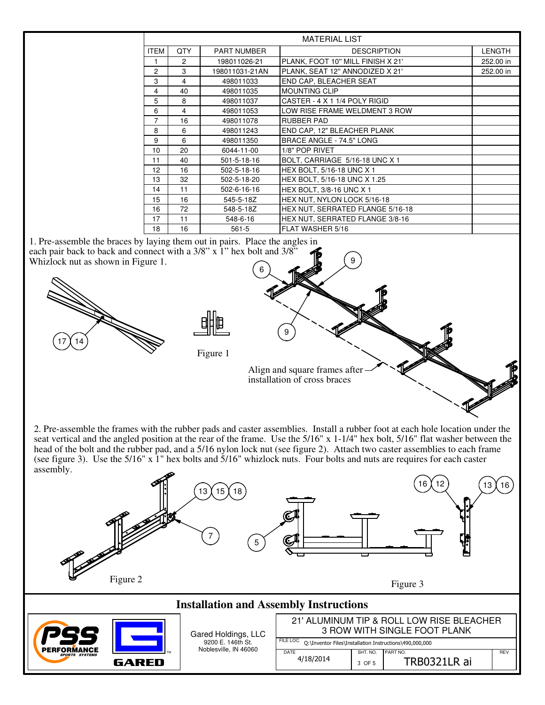| <b>MATERIAL LIST</b> |               |                    |                                   |               |
|----------------------|---------------|--------------------|-----------------------------------|---------------|
| <b>ITEM</b>          | <b>QTY</b>    | <b>PART NUMBER</b> | <b>DESCRIPTION</b>                | <b>LENGTH</b> |
|                      | $\mathcal{P}$ | 198011026-21       | PLANK, FOOT 10" MILL FINISH X 21' | 252.00 in     |
| $\overline{c}$       | 3             | 198011031-21AN     | PLANK, SEAT 12" ANNODIZED X 21'   | 252.00 in     |
| 3                    | 4             | 498011033          | END CAP, BLEACHER SEAT            |               |
| 4                    | 40            | 498011035          | <b>MOUNTING CLIP</b>              |               |
| 5                    | 8             | 498011037          | CASTER - 4 X 1 1/4 POLY RIGID     |               |
| 6                    | 4             | 498011053          | LOW RISE FRAME WELDMENT 3 ROW     |               |
| $\overline{7}$       | 16            | 498011078          | RUBBER PAD                        |               |
| 8                    | 6             | 498011243          | END CAP, 12" BLEACHER PLANK       |               |
| 9                    | 6             | 498011350          | BRACE ANGLE - 74.5" LONG          |               |
| 10                   | 20            | 6044-11-00         | 1/8" POP RIVET                    |               |
| 11                   | 40            | 501-5-18-16        | BOLT, CARRIAGE 5/16-18 UNC X 1    |               |
| 12                   | 16            | 502-5-18-16        | HEX BOLT, 5/16-18 UNC X 1         |               |
| 13                   | 32            | 502-5-18-20        | HEX BOLT, 5/16-18 UNC X 1.25      |               |
| 14                   | 11            | 502-6-16-16        | HEX BOLT, 3/8-16 UNC X 1          |               |
| 15                   | 16            | 545-5-18Z          | HEX NUT, NYLON LOCK 5/16-18       |               |
| 16                   | 72            | 548-5-18Z          | HEX NUT. SERRATED FLANGE 5/16-18  |               |
| 17                   | 11            | 548-6-16           | HEX NUT, SERRATED FLANGE 3/8-16   |               |
| 18                   | 16            | $561 - 5$          | FLAT WASHER 5/16                  |               |

9

1. Pre-assemble the braces by laying them out in pairs. Place the angles in each pair back to back and connect with a 3/8" x 1" hex bolt and 3/8" Whizlock nut as shown in Figure 1. 6



Figure 1

Align and square frames after installation of cross braces

9

2. Pre-assemble the frames with the rubber pads and caster assemblies. Install a rubber foot at each hole location under the seat vertical and the angled position at the rear of the frame. Use the 5/16" x 1-1/4" hex bolt, 5/16" flat washer between the head of the bolt and the rubber pad, and a 5/16 nylon lock nut (see figure 2). Attach two caster assemblies to each frame (see figure 3). Use the  $5/16$ " x  $\overline{1}$ " hex bolts and  $\overline{5}/16$ " whizlock nuts. Four bolts and nuts are requires for each caster assembly.

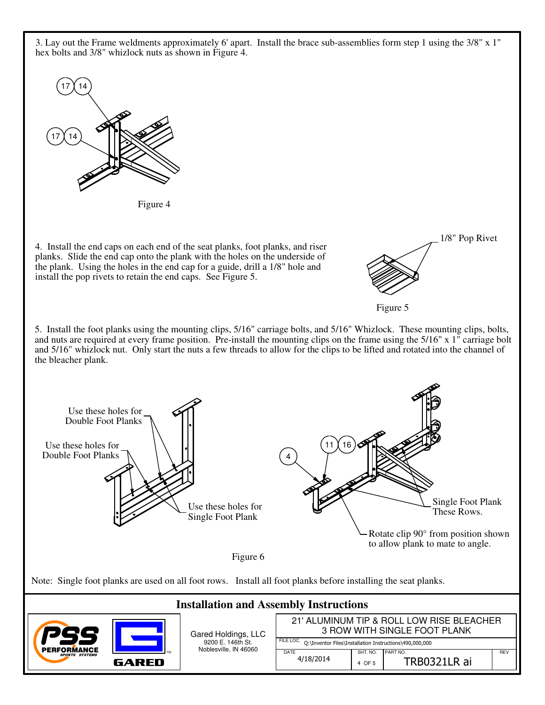3. Lay out the Frame weldments approximately 6' apart. Install the brace sub-assemblies form step 1 using the 3/8" x 1" hex bolts and 3/8" whizlock nuts as shown in Figure 4.



Figure 4

4. Install the end caps on each end of the seat planks, foot planks, and riser planks. Slide the end cap onto the plank with the holes on the underside of the plank. Using the holes in the end cap for a guide, drill a 1/8" hole and install the pop rivets to retain the end caps. See Figure 5.

1/8" Pop Rivet



5. Install the foot planks using the mounting clips, 5/16" carriage bolts, and 5/16" Whizlock. These mounting clips, bolts, and nuts are required at every frame position. Pre-install the mounting clips on the frame using the 5/16" x 1" carriage bolt and 5/16" whizlock nut. Only start the nuts a few threads to allow for the clips to be lifted and rotated into the channel of the bleacher plank.